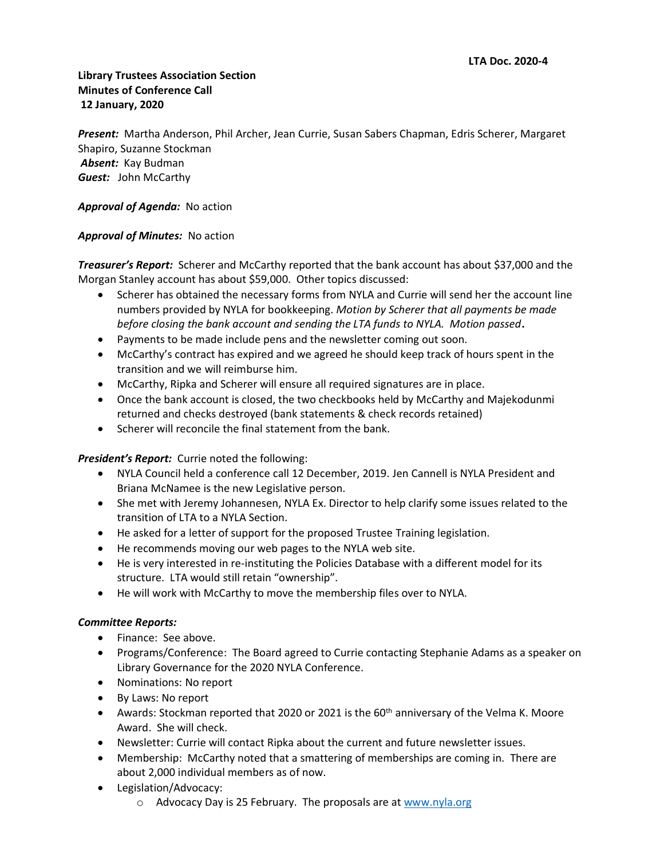# **Library Trustees Association Section Minutes of Conference Call 12 January, 2020**

*Present:* Martha Anderson, Phil Archer, Jean Currie, Susan Sabers Chapman, Edris Scherer, Margaret Shapiro, Suzanne Stockman *Absent:* Kay Budman *Guest:* John McCarthy

### *Approval of Agenda:* No action

## *Approval of Minutes:* No action

*Treasurer's Report:* Scherer and McCarthy reported that the bank account has about \$37,000 and the Morgan Stanley account has about \$59,000. Other topics discussed:

- Scherer has obtained the necessary forms from NYLA and Currie will send her the account line numbers provided by NYLA for bookkeeping. *Motion by Scherer that all payments be made before closing the bank account and sending the LTA funds to NYLA. Motion passed***.**
- Payments to be made include pens and the newsletter coming out soon.
- McCarthy's contract has expired and we agreed he should keep track of hours spent in the transition and we will reimburse him.
- McCarthy, Ripka and Scherer will ensure all required signatures are in place.
- Once the bank account is closed, the two checkbooks held by McCarthy and Majekodunmi returned and checks destroyed (bank statements & check records retained)
- Scherer will reconcile the final statement from the bank.

#### **President's Report:** Currie noted the following:

- NYLA Council held a conference call 12 December, 2019. Jen Cannell is NYLA President and Briana McNamee is the new Legislative person.
- She met with Jeremy Johannesen, NYLA Ex. Director to help clarify some issues related to the transition of LTA to a NYLA Section.
- He asked for a letter of support for the proposed Trustee Training legislation.
- He recommends moving our web pages to the NYLA web site.
- He is very interested in re-instituting the Policies Database with a different model for its structure. LTA would still retain "ownership".
- He will work with McCarthy to move the membership files over to NYLA.

#### *Committee Reports:*

- Finance: See above.
- Programs/Conference: The Board agreed to Currie contacting Stephanie Adams as a speaker on Library Governance for the 2020 NYLA Conference.
- Nominations: No report
- By Laws: No report
- Awards: Stockman reported that 2020 or 2021 is the  $60<sup>th</sup>$  anniversary of the Velma K. Moore Award. She will check.
- Newsletter: Currie will contact Ripka about the current and future newsletter issues.
- Membership: McCarthy noted that a smattering of memberships are coming in. There are about 2,000 individual members as of now.
- Legislation/Advocacy:
	- o Advocacy Day is 25 February. The proposals are a[t www.nyla.org](http://www.nyla.org/)